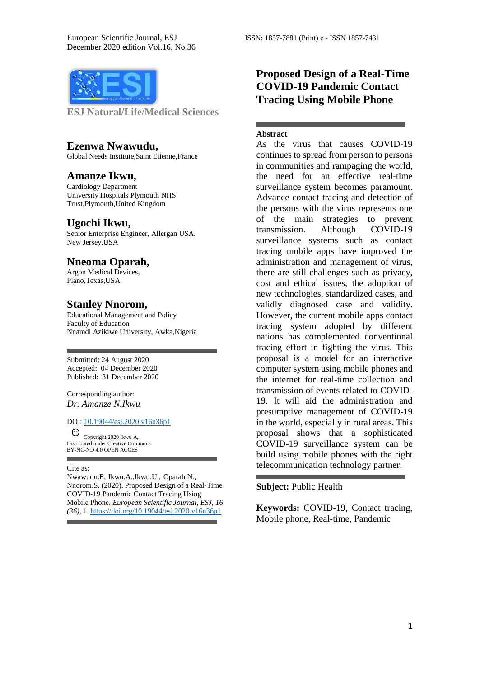

**ESJ Natural/Life/Medical Sciences** 

#### **Ezenwa Nwawudu,**

Global Needs Institute,Saint Etienne,France

## **Amanze Ikwu,**

Cardiology Department University Hospitals Plymouth NHS Trust,Plymouth,United Kingdom

## **Ugochi Ikwu,**

Senior Enterprise Engineer, Allergan USA. New Jersey,USA

## **Nneoma Oparah,**

Argon Medical Devices, Plano,Texas,USA

## **Stanley Nnorom,**

Educational Management and Policy Faculty of Education Nnamdi Azikiwe University, Awka,Nigeria

Submitted: 24 August 2020 Accepted: 04 December 2020 Published: 31 December 2020

Corresponding author: *Dr. Amanze N.Ikwu*

#### DOI: 10.19044/esj.2020.v16n36p1

Copyright 2020 Ikwu A, Distributed under Creative Commons BY-NC-ND 4.0 OPEN ACCES

#### Cite as:

Nwawudu.E, Ikwu.A.,Ikwu.U., Oparah.N., Nnorom.S. (2020). Proposed Design of a Real-Time COVID-19 Pandemic Contact Tracing Using Mobile Phone. *European Scientific Journal, ESJ, 16 (36)*, 1[. https://doi.org/10.19044/esj.2020.v16n36p1](https://doi.org/10.19044/esj.2020.v16n36p1) 

# **Proposed Design of a Real-Time COVID-19 Pandemic Contact Tracing Using Mobile Phone**

#### **Abstract**

As the virus that causes COVID-19 continues to spread from person to persons in communities and rampaging the world, the need for an effective real-time surveillance system becomes paramount. Advance contact tracing and detection of the persons with the virus represents one of the main strategies to prevent transmission. Although COVID-19 surveillance systems such as contact tracing mobile apps have improved the administration and management of virus, there are still challenges such as privacy, cost and ethical issues, the adoption of new technologies, standardized cases, and validly diagnosed case and validity. However, the current mobile apps contact tracing system adopted by different nations has complemented conventional tracing effort in fighting the virus. This proposal is a model for an interactive computer system using mobile phones and the internet for real-time collection and transmission of events related to COVID-19. It will aid the administration and presumptive management of COVID-19 in the world, especially in rural areas. This proposal shows that a sophisticated COVID-19 surveillance system can be build using mobile phones with the right telecommunication technology partner.

#### **Subject:** Public Health

**Keywords:** COVID-19, Contact tracing, Mobile phone, Real-time, Pandemic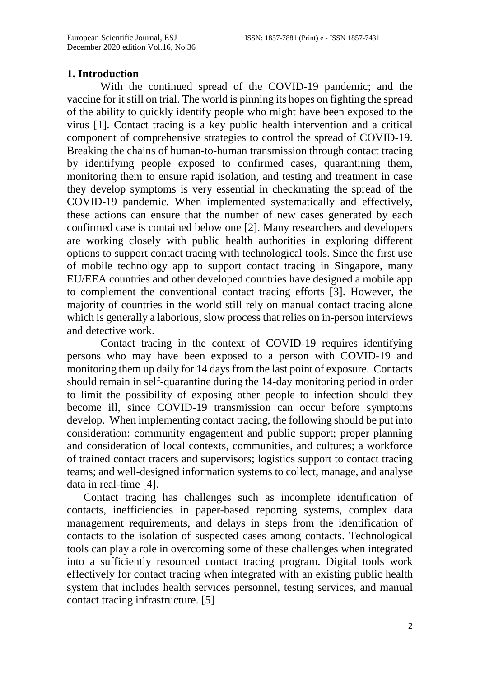## **1. Introduction**

With the continued spread of the COVID-19 pandemic; and the vaccine for it still on trial. The world is pinning its hopes on fighting the spread of the ability to quickly identify people who might have been exposed to the virus [1]. Contact tracing is a key public health intervention and a critical component of comprehensive strategies to control the spread of COVID-19. Breaking the chains of human-to-human transmission through contact tracing by identifying people exposed to confirmed cases, quarantining them, monitoring them to ensure rapid isolation, and testing and treatment in case they develop symptoms is very essential in checkmating the spread of the COVID-19 pandemic. When implemented systematically and effectively, these actions can ensure that the number of new cases generated by each confirmed case is contained below one [2]. Many researchers and developers are working closely with public health authorities in exploring different options to support contact tracing with technological tools. Since the first use of mobile technology app to support contact tracing in Singapore, many EU/EEA countries and other developed countries have designed a mobile app to complement the conventional contact tracing efforts [3]. However, the majority of countries in the world still rely on manual contact tracing alone which is generally a laborious, slow process that relies on in-person interviews and detective work.

Contact tracing in the context of COVID-19 requires identifying persons who may have been exposed to a person with COVID-19 and monitoring them up daily for 14 days from the last point of exposure. Contacts should remain in self-quarantine during the 14-day monitoring period in order to limit the possibility of exposing other people to infection should they become ill, since COVID-19 transmission can occur before symptoms develop. When implementing contact tracing, the following should be put into consideration: community engagement and public support; proper planning and consideration of local contexts, communities, and cultures; a workforce of trained contact tracers and supervisors; logistics support to contact tracing teams; and well-designed information systems to collect, manage, and analyse data in real-time [4].

Contact tracing has challenges such as incomplete identification of contacts, inefficiencies in paper-based reporting systems, complex data management requirements, and delays in steps from the identification of contacts to the isolation of suspected cases among contacts. Technological tools can play a role in overcoming some of these challenges when integrated into a sufficiently resourced contact tracing program. Digital tools work effectively for contact tracing when integrated with an existing public health system that includes health services personnel, testing services, and manual contact tracing infrastructure. [5]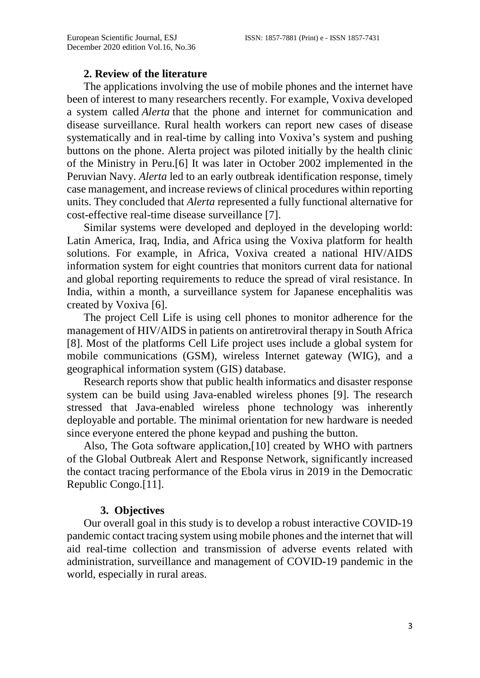#### **2. Review of the literature**

The applications involving the use of mobile phones and the internet have been of interest to many researchers recently. For example, Voxiva developed a system called *Alerta* that the phone and internet for communication and disease surveillance. Rural health workers can report new cases of disease systematically and in real-time by calling into Voxiva's system and pushing buttons on the phone. Alerta project was piloted initially by the health clinic of the Ministry in Peru.[6] It was later in October 2002 implemented in the Peruvian Navy. *Alerta* led to an early outbreak identification response, timely case management, and increase reviews of clinical procedures within reporting units. They concluded that *Alerta* represented a fully functional alternative for cost-effective real-time disease surveillance [7].

Similar systems were developed and deployed in the developing world: Latin America, Iraq, India, and Africa using the Voxiva platform for health solutions. For example, in Africa, Voxiva created a national HIV/AIDS information system for eight countries that monitors current data for national and global reporting requirements to reduce the spread of viral resistance. In India, within a month, a surveillance system for Japanese encephalitis was created by Voxiva [6].

The project Cell Life is using cell phones to monitor adherence for the management of HIV/AIDS in patients on antiretroviral therapy in South Africa [8]. Most of the platforms Cell Life project uses include a global system for mobile communications (GSM), wireless Internet gateway (WIG), and a geographical information system (GIS) database.

Research reports show that public health informatics and disaster response system can be build using Java-enabled wireless phones [9]. The research stressed that Java-enabled wireless phone technology was inherently deployable and portable. The minimal orientation for new hardware is needed since everyone entered the phone keypad and pushing the button.

Also, The Gota software application,[10] created by WHO with partners of the Global Outbreak Alert and Response Network, significantly increased the contact tracing performance of the Ebola virus in 2019 in the Democratic Republic Congo.[11].

## **3. Objectives**

Our overall goal in this study is to develop a robust interactive COVID-19 pandemic contact tracing system using mobile phones and the internet that will aid real-time collection and transmission of adverse events related with administration, surveillance and management of COVID-19 pandemic in the world, especially in rural areas.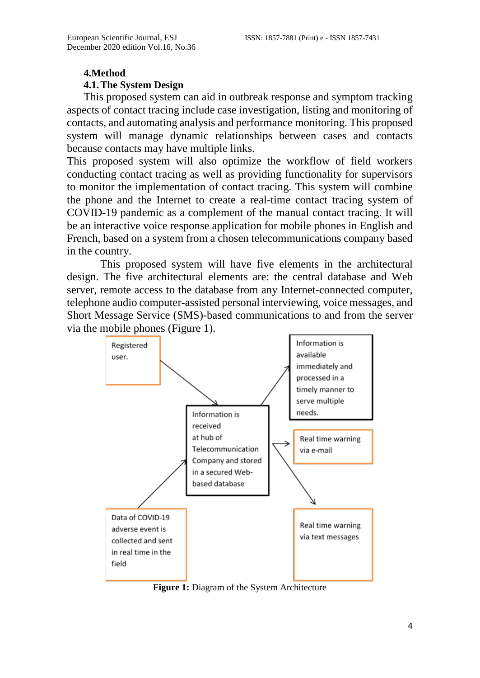#### **4.Method**

#### **4.1.The System Design**

This proposed system can aid in outbreak response and symptom tracking aspects of contact tracing include case investigation, listing and monitoring of contacts, and automating analysis and performance monitoring. This proposed system will manage dynamic relationships between cases and contacts because contacts may have multiple links.

This proposed system will also optimize the workflow of field workers conducting contact tracing as well as providing functionality for supervisors to monitor the implementation of contact tracing. This system will combine the phone and the Internet to create a real-time contact tracing system of COVID-19 pandemic as a complement of the manual contact tracing. It will be an interactive voice response application for mobile phones in English and French, based on a system from a chosen telecommunications company based in the country.

This proposed system will have five elements in the architectural design. The five architectural elements are: the central database and Web server, remote access to the database from any Internet-connected computer, telephone audio computer-assisted personal interviewing, voice messages, and Short Message Service (SMS)-based communications to and from the server via the mobile phones (Figure 1).



**Figure 1:** Diagram of the System Architecture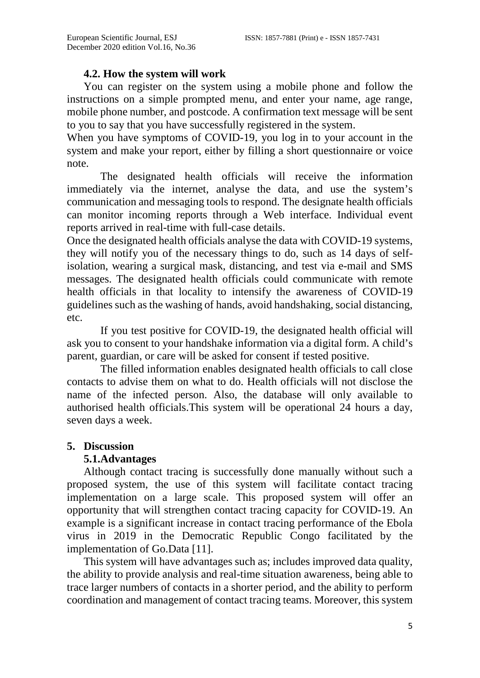## **4.2. How the system will work**

You can register on the system using a mobile phone and follow the instructions on a simple prompted menu, and enter your name, age range, mobile phone number, and postcode. A confirmation text message will be sent to you to say that you have successfully registered in the system.

When you have symptoms of COVID-19, you log in to your account in the system and make your report, either by filling a short questionnaire or voice note.

The designated health officials will receive the information immediately via the internet, analyse the data, and use the system's communication and messaging tools to respond. The designate health officials can monitor incoming reports through a Web interface. Individual event reports arrived in real-time with full-case details.

Once the designated health officials analyse the data with COVID-19 systems, they will notify you of the necessary things to do, such as 14 days of selfisolation, wearing a surgical mask, distancing, and test via e-mail and SMS messages. The designated health officials could communicate with remote health officials in that locality to intensify the awareness of COVID-19 guidelines such as the washing of hands, avoid handshaking, social distancing, etc.

If you test positive for COVID-19, the designated health official will ask you to consent to your handshake information via a digital form. A child's parent, guardian, or care will be asked for consent if tested positive.

The filled information enables designated health officials to call close contacts to advise them on what to do. Health officials will not disclose the name of the infected person. Also, the database will only available to authorised health officials.This system will be operational 24 hours a day, seven days a week.

## **5. Discussion**

## **5.1.Advantages**

Although contact tracing is successfully done manually without such a proposed system, the use of this system will facilitate contact tracing implementation on a large scale. This proposed system will offer an opportunity that will strengthen contact tracing capacity for COVID-19. An example is a significant increase in contact tracing performance of the Ebola virus in 2019 in the Democratic Republic Congo facilitated by the implementation of Go.Data [11].

This system will have advantages such as; includes improved data quality, the ability to provide analysis and real-time situation awareness, being able to trace larger numbers of contacts in a shorter period, and the ability to perform coordination and management of contact tracing teams. Moreover, this system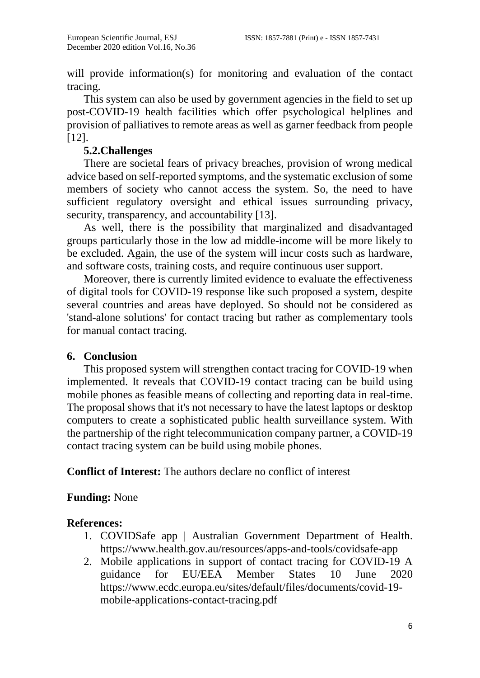will provide information(s) for monitoring and evaluation of the contact tracing.

This system can also be used by government agencies in the field to set up post-COVID-19 health facilities which offer psychological helplines and provision of palliatives to remote areas as well as garner feedback from people [12].

# **5.2.Challenges**

There are societal fears of privacy breaches, provision of wrong medical advice based on self-reported symptoms, and the systematic exclusion of some members of society who cannot access the system. So, the need to have sufficient regulatory oversight and ethical issues surrounding privacy, security, transparency, and accountability [13].

As well, there is the possibility that marginalized and disadvantaged groups particularly those in the low ad middle-income will be more likely to be excluded. Again, the use of the system will incur costs such as hardware, and software costs, training costs, and require continuous user support.

Moreover, there is currently limited evidence to evaluate the effectiveness of digital tools for COVID-19 response like such proposed a system, despite several countries and areas have deployed. So should not be considered as 'stand-alone solutions' for contact tracing but rather as complementary tools for manual contact tracing.

## **6. Conclusion**

This proposed system will strengthen contact tracing for COVID-19 when implemented. It reveals that COVID-19 contact tracing can be build using mobile phones as feasible means of collecting and reporting data in real-time. The proposal shows that it's not necessary to have the latest laptops or desktop computers to create a sophisticated public health surveillance system. With the partnership of the right telecommunication company partner, a COVID-19 contact tracing system can be build using mobile phones.

**Conflict of Interest:** The authors declare no conflict of interest

## **Funding:** None

## **References:**

- 1. COVIDSafe app | Australian Government Department of Health. <https://www.health.gov.au/resources/apps-and-tools/covidsafe-app>
- 2. Mobile applications in support of contact tracing for COVID-19 A guidance for EU/EEA Member States 10 June 2020 [https://www.ecdc.europa.eu/sites/default/files/documents/covid-19](https://www.ecdc.europa.eu/sites/default/files/documents/covid-19-mobile-applications-contact-tracing.pdf) [mobile-applications-contact-tracing.pdf](https://www.ecdc.europa.eu/sites/default/files/documents/covid-19-mobile-applications-contact-tracing.pdf)